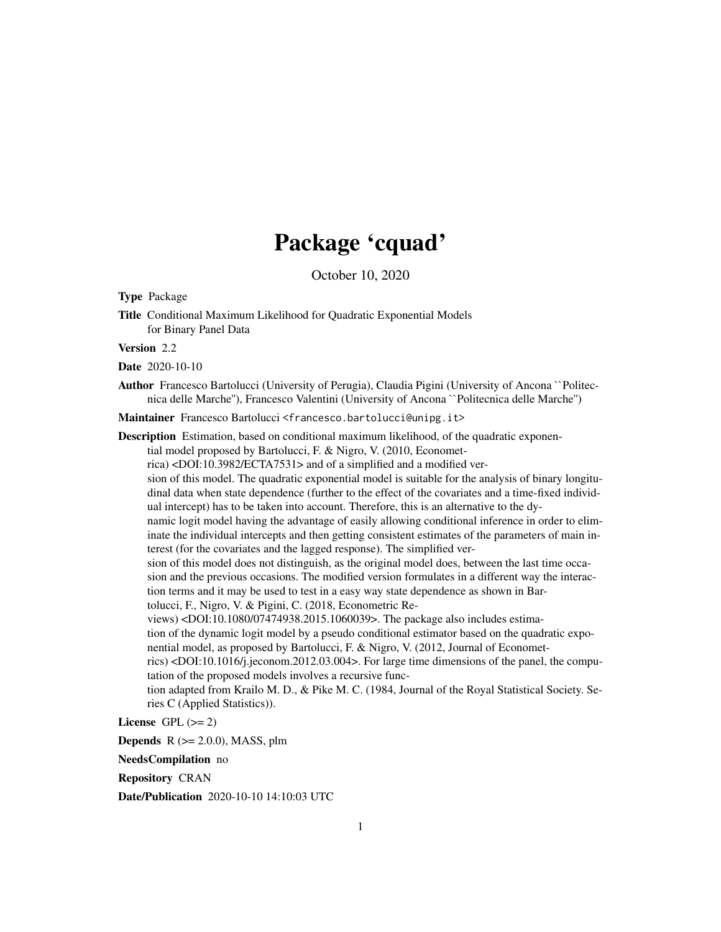# Package 'cquad'

October 10, 2020

Type Package

Title Conditional Maximum Likelihood for Quadratic Exponential Models for Binary Panel Data

Version 2.2

Date 2020-10-10

Author Francesco Bartolucci (University of Perugia), Claudia Pigini (University of Ancona ``Politecnica delle Marche''), Francesco Valentini (University of Ancona ``Politecnica delle Marche'')

Maintainer Francesco Bartolucci <francesco.bartolucci@unipg.it>

Description Estimation, based on conditional maximum likelihood, of the quadratic exponential model proposed by Bartolucci, F. & Nigro, V. (2010, Econometrica) <DOI:10.3982/ECTA7531> and of a simplified and a modified version of this model. The quadratic exponential model is suitable for the analysis of binary longitudinal data when state dependence (further to the effect of the covariates and a time-fixed individual intercept) has to be taken into account. Therefore, this is an alternative to the dynamic logit model having the advantage of easily allowing conditional inference in order to eliminate the individual intercepts and then getting consistent estimates of the parameters of main interest (for the covariates and the lagged response). The simplified version of this model does not distinguish, as the original model does, between the last time occasion and the previous occasions. The modified version formulates in a different way the interaction terms and it may be used to test in a easy way state dependence as shown in Bartolucci, F., Nigro, V. & Pigini, C. (2018, Econometric Reviews) <DOI:10.1080/07474938.2015.1060039>. The package also includes estimation of the dynamic logit model by a pseudo conditional estimator based on the quadratic exponential model, as proposed by Bartolucci, F. & Nigro, V. (2012, Journal of Econometrics) <DOI:10.1016/j.jeconom.2012.03.004>. For large time dimensions of the panel, the computation of the proposed models involves a recursive function adapted from Krailo M. D., & Pike M. C. (1984, Journal of the Royal Statistical Society. Series C (Applied Statistics)).

License GPL  $(>= 2)$ 

**Depends**  $R$  ( $>= 2.0.0$ ), MASS, plm

NeedsCompilation no

Repository CRAN

Date/Publication 2020-10-10 14:10:03 UTC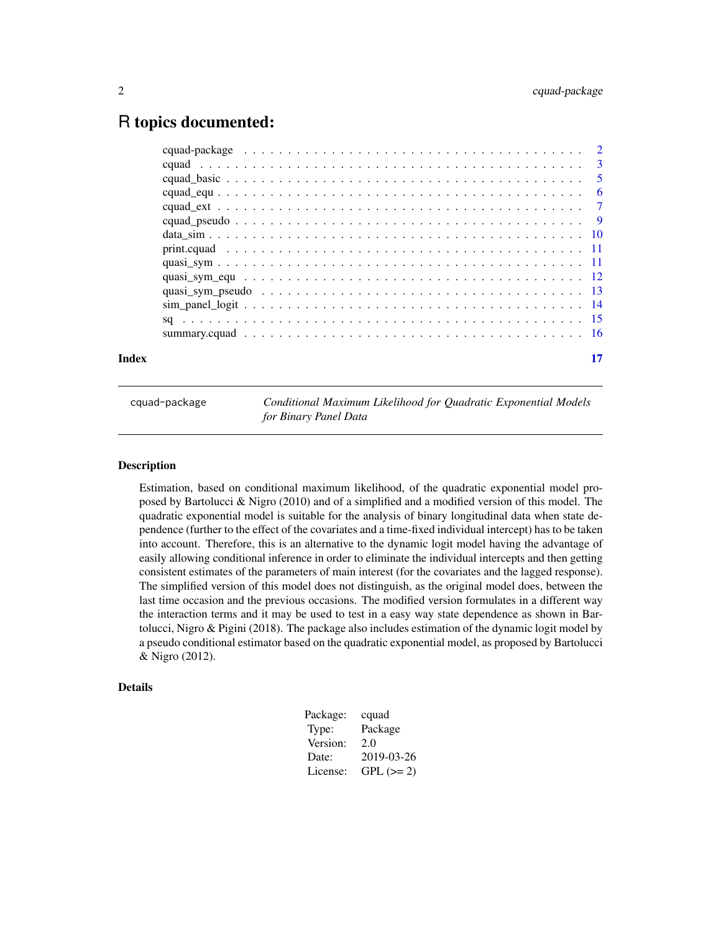# <span id="page-1-0"></span>R topics documented:

| Index |  |
|-------|--|

cquad-package *Conditional Maximum Likelihood for Quadratic Exponential Models for Binary Panel Data*

#### Description

Estimation, based on conditional maximum likelihood, of the quadratic exponential model proposed by Bartolucci & Nigro (2010) and of a simplified and a modified version of this model. The quadratic exponential model is suitable for the analysis of binary longitudinal data when state dependence (further to the effect of the covariates and a time-fixed individual intercept) has to be taken into account. Therefore, this is an alternative to the dynamic logit model having the advantage of easily allowing conditional inference in order to eliminate the individual intercepts and then getting consistent estimates of the parameters of main interest (for the covariates and the lagged response). The simplified version of this model does not distinguish, as the original model does, between the last time occasion and the previous occasions. The modified version formulates in a different way the interaction terms and it may be used to test in a easy way state dependence as shown in Bartolucci, Nigro & Pigini (2018). The package also includes estimation of the dynamic logit model by a pseudo conditional estimator based on the quadratic exponential model, as proposed by Bartolucci & Nigro (2012).

# Details

| Package: | cquad       |
|----------|-------------|
| Type:    | Package     |
| Version: | 2.0         |
| Date:    | 2019-03-26  |
| License: | $GPL (= 2)$ |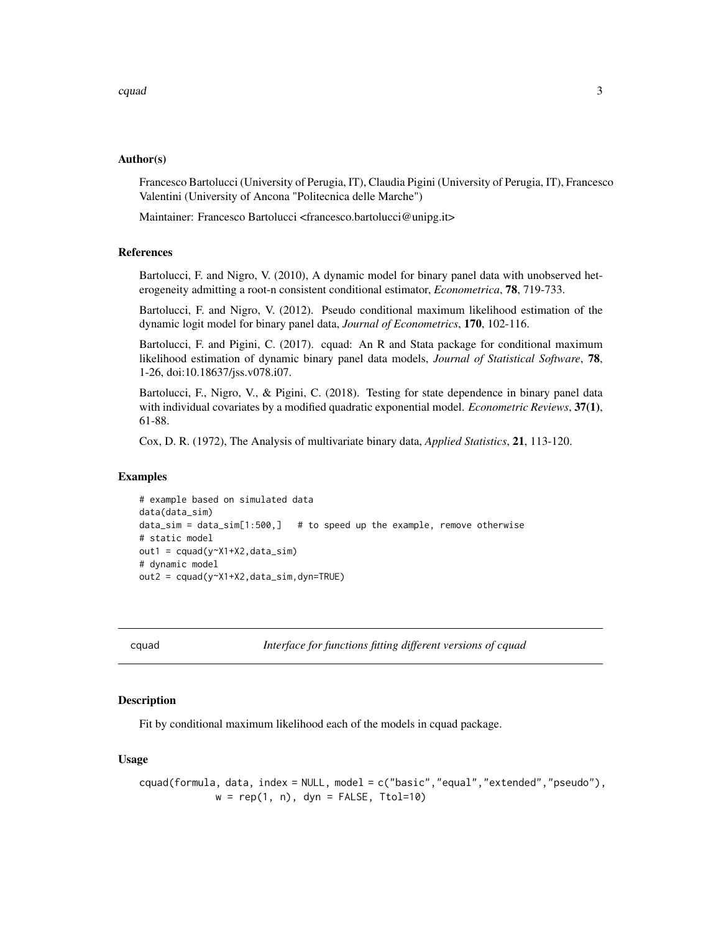# <span id="page-2-0"></span>Author(s)

Francesco Bartolucci (University of Perugia, IT), Claudia Pigini (University of Perugia, IT), Francesco Valentini (University of Ancona "Politecnica delle Marche")

Maintainer: Francesco Bartolucci <francesco.bartolucci@unipg.it>

# References

Bartolucci, F. and Nigro, V. (2010), A dynamic model for binary panel data with unobserved heterogeneity admitting a root-n consistent conditional estimator, *Econometrica*, 78, 719-733.

Bartolucci, F. and Nigro, V. (2012). Pseudo conditional maximum likelihood estimation of the dynamic logit model for binary panel data, *Journal of Econometrics*, 170, 102-116.

Bartolucci, F. and Pigini, C. (2017). cquad: An R and Stata package for conditional maximum likelihood estimation of dynamic binary panel data models, *Journal of Statistical Software*, 78, 1-26, doi:10.18637/jss.v078.i07.

Bartolucci, F., Nigro, V., & Pigini, C. (2018). Testing for state dependence in binary panel data with individual covariates by a modified quadratic exponential model. *Econometric Reviews*, 37(1), 61-88.

Cox, D. R. (1972), The Analysis of multivariate binary data, *Applied Statistics*, 21, 113-120.

# Examples

```
# example based on simulated data
data(data_sim)
data\_sim = data\_sim[1:500,] # to speed up the example, remove otherwise
# static model
out1 = cquad(y~X1+X2,data_sim)
# dynamic model
out2 = cquad(y~X1+X2,data_sim,dyn=TRUE)
```
cquad *Interface for functions fitting different versions of cquad*

# **Description**

Fit by conditional maximum likelihood each of the models in cquad package.

#### Usage

```
cquad(formula, data, index = NULL, model = c("basic","equal","extended","pseudo"),
             w = rep(1, n), dyn = FALSE, Ttol=10)
```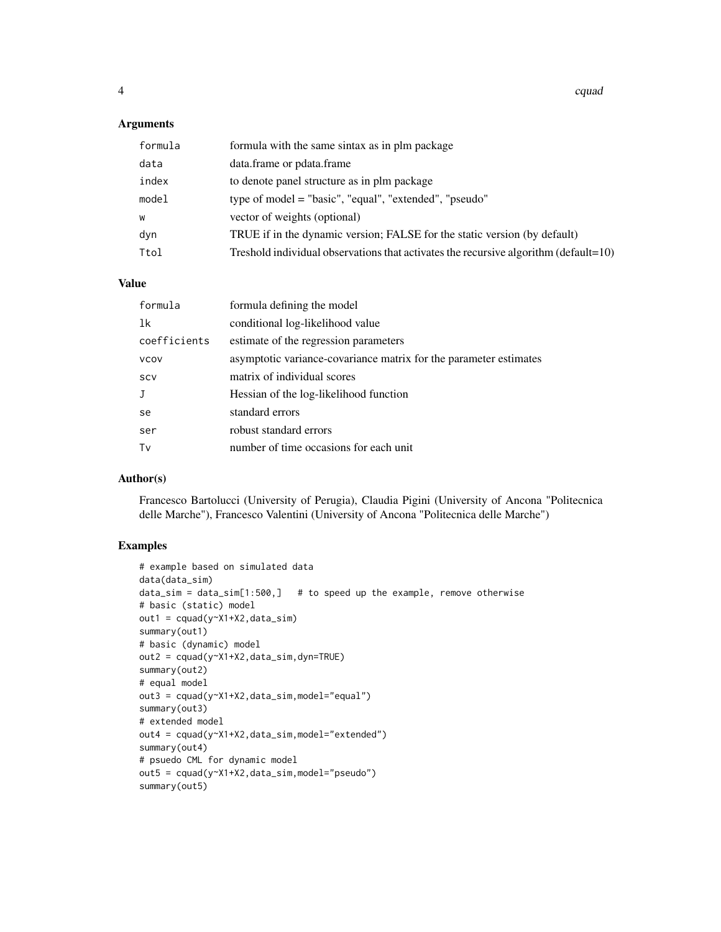4 can control of the control of the control of the control of the control of the control of the control of the control of the control of the control of the control of the control of the control of the control of the contro

# Arguments

| formula | formula with the same sintax as in plm package                                       |
|---------|--------------------------------------------------------------------------------------|
| data    | data.frame or pdata.frame                                                            |
| index   | to denote panel structure as in plm package                                          |
| model   | type of model = "basic", "equal", "extended", "pseudo"                               |
| W       | vector of weights (optional)                                                         |
| dyn     | TRUE if in the dynamic version; FALSE for the static version (by default)            |
| Ttol    | Treshold individual observations that activates the recursive algorithm (default=10) |

#### Value

| formula      | formula defining the model                                        |
|--------------|-------------------------------------------------------------------|
| 1k           | conditional log-likelihood value                                  |
| coefficients | estimate of the regression parameters                             |
| <b>VCOV</b>  | asymptotic variance-covariance matrix for the parameter estimates |
| SCV          | matrix of individual scores                                       |
|              | Hessian of the log-likelihood function                            |
| se           | standard errors                                                   |
| ser          | robust standard errors                                            |
| Tv           | number of time occasions for each unit                            |
|              |                                                                   |

# Author(s)

Francesco Bartolucci (University of Perugia), Claudia Pigini (University of Ancona "Politecnica delle Marche"), Francesco Valentini (University of Ancona "Politecnica delle Marche")

# Examples

```
# example based on simulated data
data(data_sim)
data\_sim = data\_sim[1:500,] # to speed up the example, remove otherwise
# basic (static) model
out1 = cquad(y<sup>2</sup>X1+X2, data_sim)summary(out1)
# basic (dynamic) model
out2 = cquad(y~X1+X2,data_sim,dyn=TRUE)
summary(out2)
# equal model
out3 = cquad(y~X1+X2,data_sim,model="equal")
summary(out3)
# extended model
out4 = cquad(y~X1+X2,data_sim,model="extended")
summary(out4)
# psuedo CML for dynamic model
out5 = cquad(y~X1+X2,data_sim,model="pseudo")
summary(out5)
```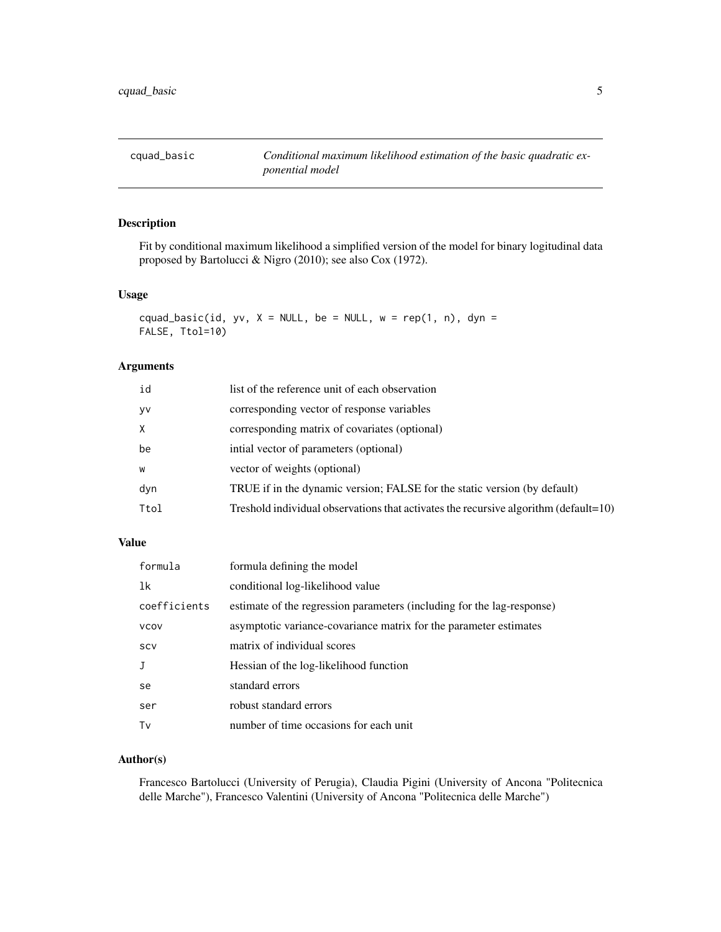<span id="page-4-0"></span>cquad\_basic *Conditional maximum likelihood estimation of the basic quadratic exponential model*

# Description

Fit by conditional maximum likelihood a simplified version of the model for binary logitudinal data proposed by Bartolucci & Nigro (2010); see also Cox (1972).

#### Usage

```
cquad_basic(id, yv, X = NULL, be = NULL, w = rep(1, n), dyn =
FALSE, Ttol=10)
```
#### Arguments

| id        | list of the reference unit of each observation                                       |
|-----------|--------------------------------------------------------------------------------------|
| <b>VV</b> | corresponding vector of response variables                                           |
| X         | corresponding matrix of covariates (optional)                                        |
| be        | intial vector of parameters (optional)                                               |
| W         | vector of weights (optional)                                                         |
| dyn       | TRUE if in the dynamic version; FALSE for the static version (by default)            |
| Ttol      | Treshold individual observations that activates the recursive algorithm (default=10) |
|           |                                                                                      |

# Value

| formula      | formula defining the model                                             |
|--------------|------------------------------------------------------------------------|
| 1k           | conditional log-likelihood value                                       |
| coefficients | estimate of the regression parameters (including for the lag-response) |
| <b>VCOV</b>  | asymptotic variance-covariance matrix for the parameter estimates      |
| SCV          | matrix of individual scores                                            |
| $\mathbf{J}$ | Hessian of the log-likelihood function                                 |
| se           | standard errors                                                        |
| ser          | robust standard errors                                                 |
| Tv           | number of time occasions for each unit                                 |

# Author(s)

Francesco Bartolucci (University of Perugia), Claudia Pigini (University of Ancona "Politecnica delle Marche"), Francesco Valentini (University of Ancona "Politecnica delle Marche")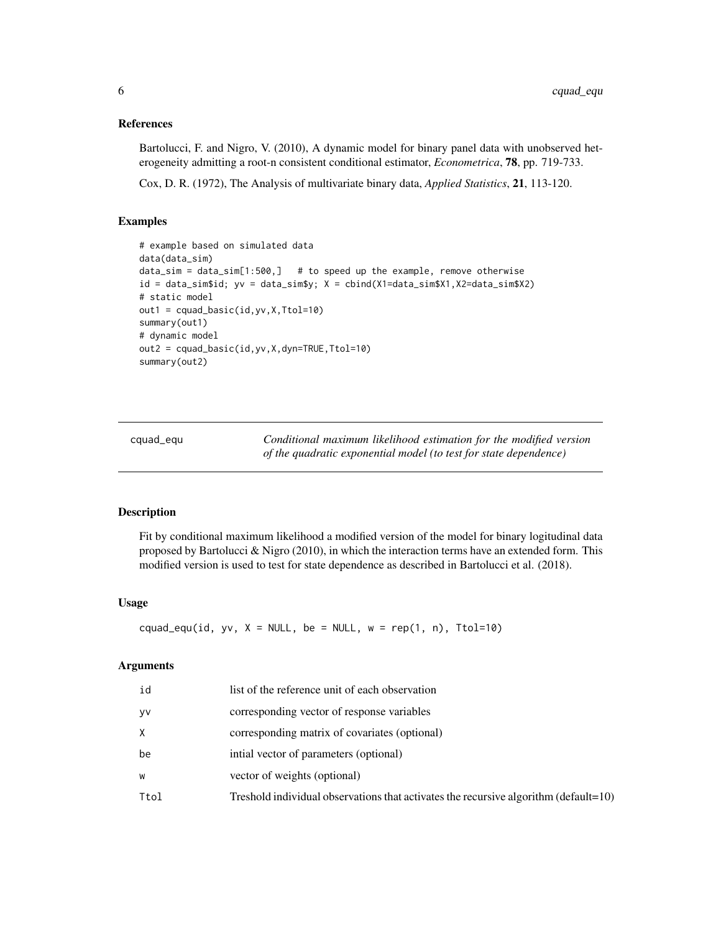## <span id="page-5-0"></span>References

Bartolucci, F. and Nigro, V. (2010), A dynamic model for binary panel data with unobserved heterogeneity admitting a root-n consistent conditional estimator, *Econometrica*, 78, pp. 719-733.

Cox, D. R. (1972), The Analysis of multivariate binary data, *Applied Statistics*, 21, 113-120.

#### Examples

```
# example based on simulated data
data(data_sim)
data\_sim = data\_sim[1:500,] # to speed up the example, remove otherwise
id = data_sim$id; yv = data_sim$y; X = cbind(X1=data_sim$X1,X2=data_sim$X2)
# static model
out1 = cquad_basic(id,yv,X,Ttol=10)
summary(out1)
# dynamic model
out2 = cquad_basic(id,yv,X,dyn=TRUE,Ttol=10)
summary(out2)
```
cquad\_equ *Conditional maximum likelihood estimation for the modified version of the quadratic exponential model (to test for state dependence)*

#### Description

Fit by conditional maximum likelihood a modified version of the model for binary logitudinal data proposed by Bartolucci & Nigro (2010), in which the interaction terms have an extended form. This modified version is used to test for state dependence as described in Bartolucci et al. (2018).

# Usage

cquad\_equ(id, yv,  $X = NULL$ , be = NULL, w = rep(1, n), Ttol=10)

# Arguments

| id   | list of the reference unit of each observation                                                  |
|------|-------------------------------------------------------------------------------------------------|
| yv   | corresponding vector of response variables                                                      |
| X    | corresponding matrix of covariates (optional)                                                   |
| be   | intial vector of parameters (optional)                                                          |
| W    | vector of weights (optional)                                                                    |
| Ttol | Treshold individual observations that activates the recursive algorithm ( $\text{default}=10$ ) |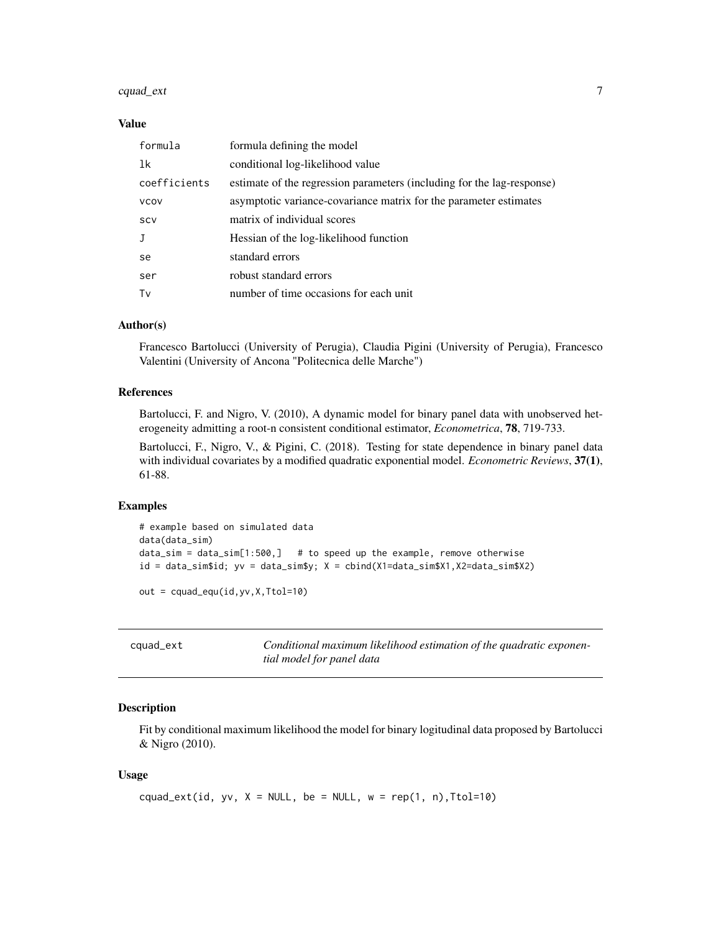# <span id="page-6-0"></span>cquad\_ext 7

### Value

| formula      | formula defining the model                                             |
|--------------|------------------------------------------------------------------------|
| 1k           | conditional log-likelihood value                                       |
| coefficients | estimate of the regression parameters (including for the lag-response) |
| <b>VCOV</b>  | asymptotic variance-covariance matrix for the parameter estimates      |
| SCV          | matrix of individual scores                                            |
| J            | Hessian of the log-likelihood function                                 |
| se           | standard errors                                                        |
| ser          | robust standard errors                                                 |
| Tv           | number of time occasions for each unit                                 |

# Author(s)

Francesco Bartolucci (University of Perugia), Claudia Pigini (University of Perugia), Francesco Valentini (University of Ancona "Politecnica delle Marche")

# References

Bartolucci, F. and Nigro, V. (2010), A dynamic model for binary panel data with unobserved heterogeneity admitting a root-n consistent conditional estimator, *Econometrica*, 78, 719-733.

Bartolucci, F., Nigro, V., & Pigini, C. (2018). Testing for state dependence in binary panel data with individual covariates by a modified quadratic exponential model. *Econometric Reviews*, 37(1), 61-88.

#### Examples

```
# example based on simulated data
data(data_sim)
data_sim = data_sim[1:500,] # to speed up the example, remove otherwise
id = data_sim$id; yv = data_sim$y; X = cbind(X1=data_sim$X1,X2=data_sim$X2)
out = cquad_equ(id,yv,X,Ttol=10)
```

| cquad_ext | Conditional maximum likelihood estimation of the quadratic exponen- |
|-----------|---------------------------------------------------------------------|
|           | tial model for panel data                                           |

#### Description

Fit by conditional maximum likelihood the model for binary logitudinal data proposed by Bartolucci & Nigro (2010).

# Usage

```
cquad_ext(id, yv, X = NULL, be = NULL, w = rep(1, n), Ttol=10)
```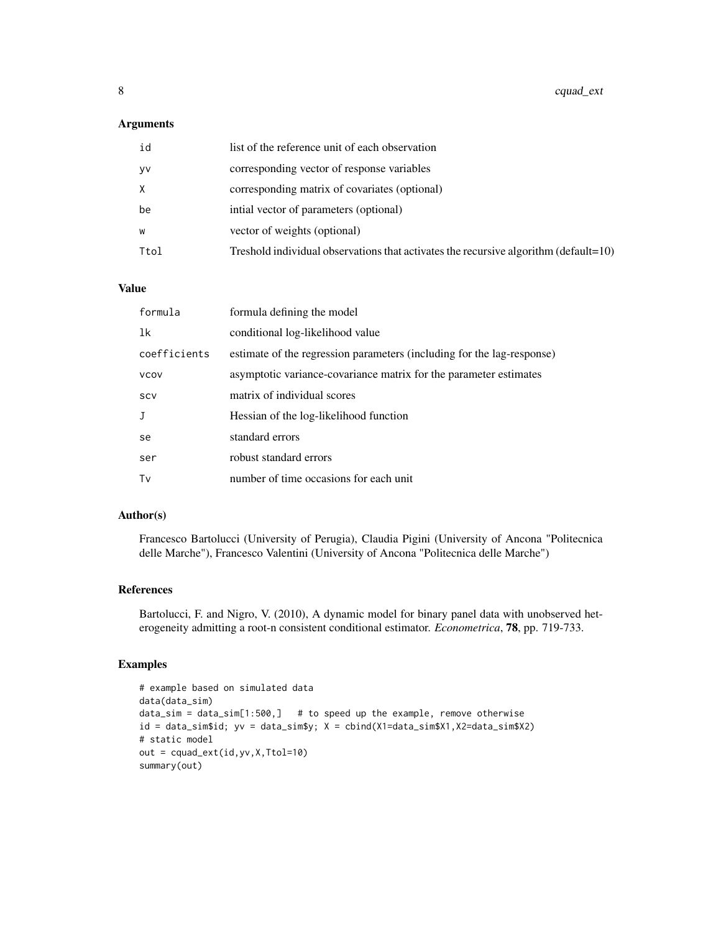# Arguments

| id        | list of the reference unit of each observation                                       |
|-----------|--------------------------------------------------------------------------------------|
| <b>VV</b> | corresponding vector of response variables                                           |
|           | corresponding matrix of covariates (optional)                                        |
| be        | intial vector of parameters (optional)                                               |
| W         | vector of weights (optional)                                                         |
| Ttol      | Treshold individual observations that activates the recursive algorithm (default=10) |

#### Value

| formula      | formula defining the model                                             |
|--------------|------------------------------------------------------------------------|
| 1k           | conditional log-likelihood value                                       |
| coefficients | estimate of the regression parameters (including for the lag-response) |
| <b>VCOV</b>  | asymptotic variance-covariance matrix for the parameter estimates      |
| <b>SCV</b>   | matrix of individual scores                                            |
| J            | Hessian of the log-likelihood function                                 |
| se           | standard errors                                                        |
| ser          | robust standard errors                                                 |
| Tv           | number of time occasions for each unit                                 |

#### Author(s)

Francesco Bartolucci (University of Perugia), Claudia Pigini (University of Ancona "Politecnica delle Marche"), Francesco Valentini (University of Ancona "Politecnica delle Marche")

# References

Bartolucci, F. and Nigro, V. (2010), A dynamic model for binary panel data with unobserved heterogeneity admitting a root-n consistent conditional estimator. *Econometrica*, 78, pp. 719-733.

# Examples

```
# example based on simulated data
data(data_sim)
data\_sim = data\_sim[1:500,] # to speed up the example, remove otherwise
id = data_sim$id; yv = data_sim$y; X = cbind(X1=data_sim$X1,X2=data_sim$X2)
# static model
out = cquad_ext(id,yv,X,Ttol=10)
summary(out)
```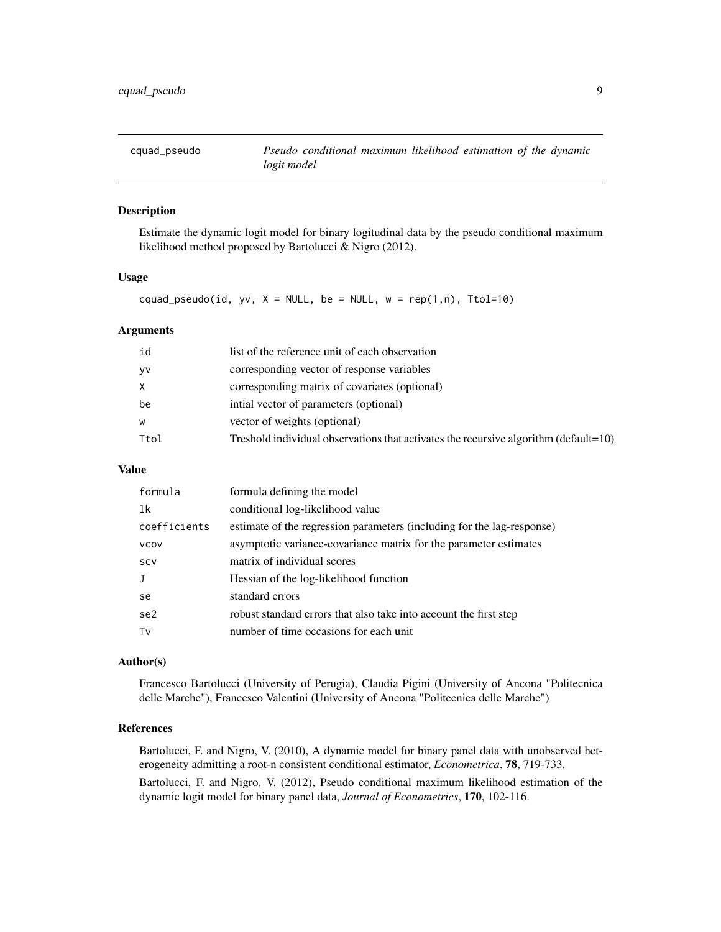<span id="page-8-0"></span>

# Description

Estimate the dynamic logit model for binary logitudinal data by the pseudo conditional maximum likelihood method proposed by Bartolucci & Nigro (2012).

# Usage

cquad\_pseudo(id, yv,  $X = NULL$ , be = NULL, w = rep(1,n), Ttol=10)

# Arguments

| id        | list of the reference unit of each observation                                           |
|-----------|------------------------------------------------------------------------------------------|
| <b>VV</b> | corresponding vector of response variables                                               |
|           | corresponding matrix of covariates (optional)                                            |
| be        | intial vector of parameters (optional)                                                   |
| W         | vector of weights (optional)                                                             |
| Ttol      | Treshold individual observations that activates the recursive algorithm (default= $10$ ) |
|           |                                                                                          |

# Value

| formula      | formula defining the model                                             |
|--------------|------------------------------------------------------------------------|
| 1k           | conditional log-likelihood value                                       |
| coefficients | estimate of the regression parameters (including for the lag-response) |
| <b>VCOV</b>  | asymptotic variance-covariance matrix for the parameter estimates      |
| SCV          | matrix of individual scores                                            |
|              | Hessian of the log-likelihood function                                 |
| se.          | standard errors                                                        |
| se2          | robust standard errors that also take into account the first step      |
| Tv           | number of time occasions for each unit                                 |

#### Author(s)

Francesco Bartolucci (University of Perugia), Claudia Pigini (University of Ancona "Politecnica delle Marche"), Francesco Valentini (University of Ancona "Politecnica delle Marche")

# References

Bartolucci, F. and Nigro, V. (2010), A dynamic model for binary panel data with unobserved heterogeneity admitting a root-n consistent conditional estimator, *Econometrica*, 78, 719-733. Bartolucci, F. and Nigro, V. (2012), Pseudo conditional maximum likelihood estimation of the dynamic logit model for binary panel data, *Journal of Econometrics*, 170, 102-116.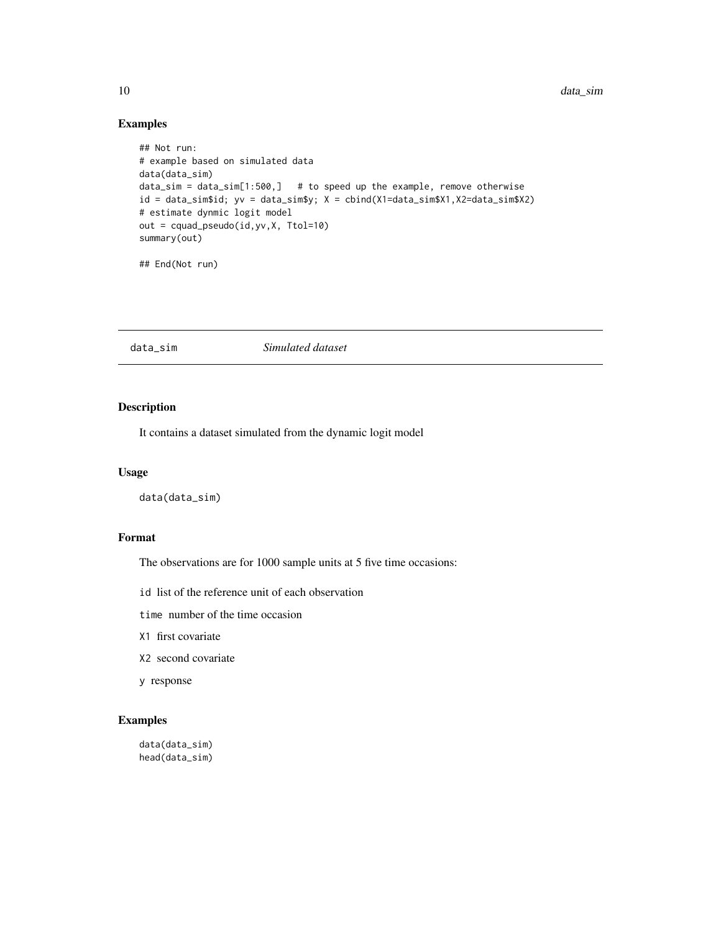# Examples

```
## Not run:
# example based on simulated data
data(data_sim)
data\_sim = data\_sim[1:500,] # to speed up the example, remove otherwise
id = data_sim$id; yv = data_sim$y; X = cbind(X1=data_sim$X1,X2=data_sim$X2)
# estimate dynmic logit model
out = cquad_pseudo(id,yv,X, Ttol=10)
summary(out)
```
## End(Not run)

#### data\_sim *Simulated dataset*

# Description

It contains a dataset simulated from the dynamic logit model

# Usage

data(data\_sim)

# Format

The observations are for 1000 sample units at 5 five time occasions:

id list of the reference unit of each observation

time number of the time occasion

- X1 first covariate
- X2 second covariate
- y response

# Examples

data(data\_sim) head(data\_sim)

<span id="page-9-0"></span>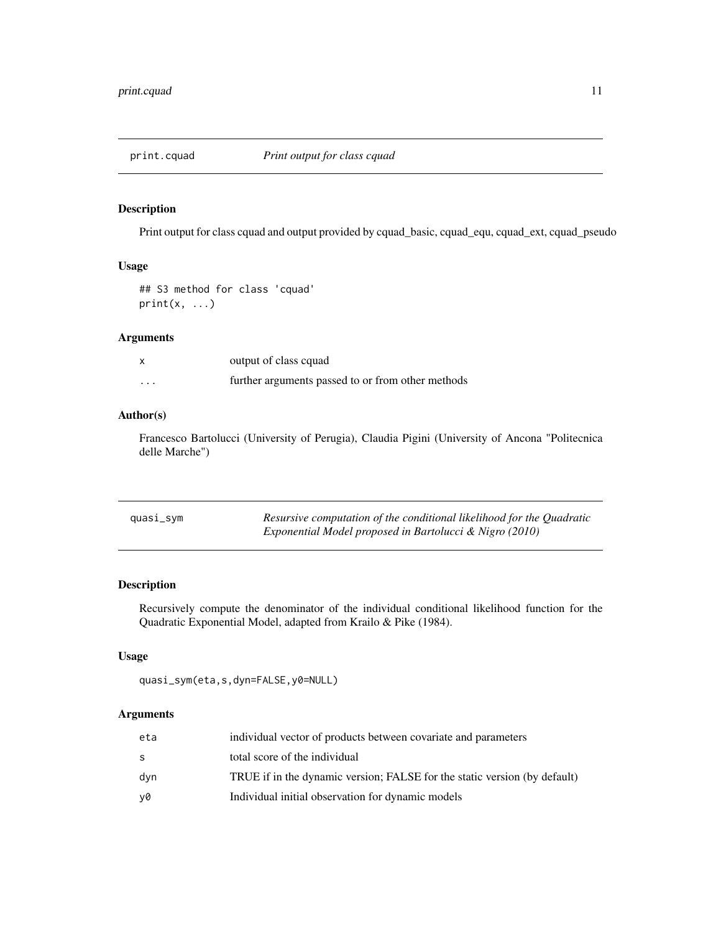<span id="page-10-0"></span>

# Description

Print output for class cquad and output provided by cquad\_basic, cquad\_equ, cquad\_ext, cquad\_pseudo

# Usage

## S3 method for class 'cquad'  $print(x, \ldots)$ 

# Arguments

| $\boldsymbol{\mathsf{x}}$ | output of class cquad                             |
|---------------------------|---------------------------------------------------|
| $\cdots$                  | further arguments passed to or from other methods |

# Author(s)

Francesco Bartolucci (University of Perugia), Claudia Pigini (University of Ancona "Politecnica delle Marche")

| quasi_sym | Resursive computation of the conditional likelihood for the Quadratic |
|-----------|-----------------------------------------------------------------------|
|           | Exponential Model proposed in Bartolucci & Nigro (2010)               |

# Description

Recursively compute the denominator of the individual conditional likelihood function for the Quadratic Exponential Model, adapted from Krailo & Pike (1984).

# Usage

quasi\_sym(eta,s,dyn=FALSE,y0=NULL)

#### Arguments

| eta | individual vector of products between covariate and parameters            |
|-----|---------------------------------------------------------------------------|
| s   | total score of the individual                                             |
| dvn | TRUE if in the dynamic version; FALSE for the static version (by default) |
| v0  | Individual initial observation for dynamic models                         |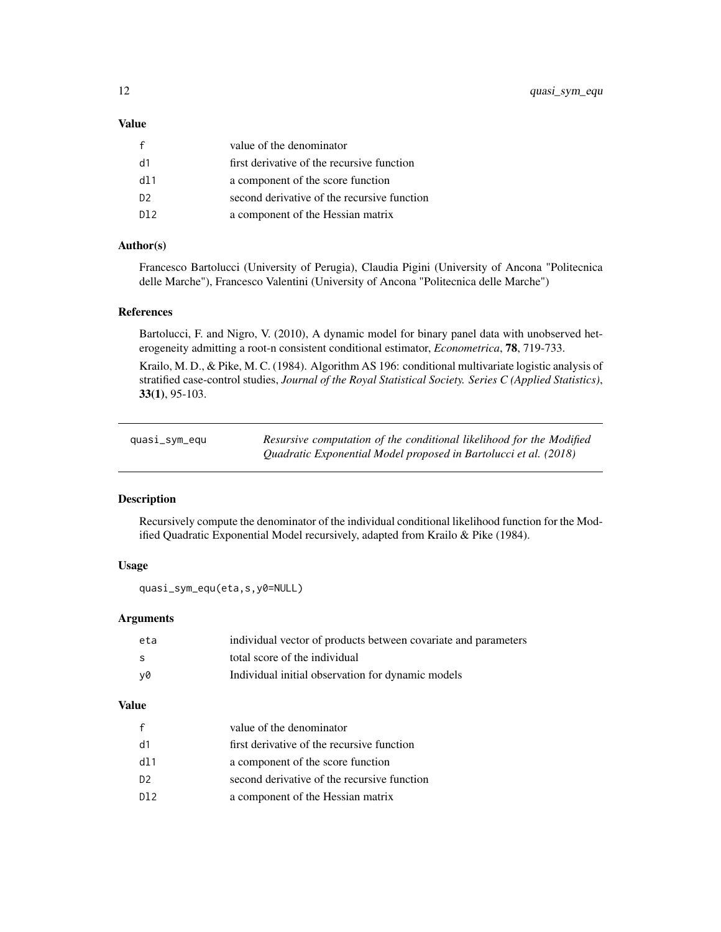# <span id="page-11-0"></span>Value

|                | value of the denominator                    |
|----------------|---------------------------------------------|
| d1             | first derivative of the recursive function  |
| dl 1           | a component of the score function           |
| D <sup>2</sup> | second derivative of the recursive function |
| DJ 2           | a component of the Hessian matrix           |

# Author(s)

Francesco Bartolucci (University of Perugia), Claudia Pigini (University of Ancona "Politecnica delle Marche"), Francesco Valentini (University of Ancona "Politecnica delle Marche")

# References

Bartolucci, F. and Nigro, V. (2010), A dynamic model for binary panel data with unobserved heterogeneity admitting a root-n consistent conditional estimator, *Econometrica*, 78, 719-733.

Krailo, M. D., & Pike, M. C. (1984). Algorithm AS 196: conditional multivariate logistic analysis of stratified case-control studies, *Journal of the Royal Statistical Society. Series C (Applied Statistics)*, 33(1), 95-103.

| quasi_sym_equ | Resursive computation of the conditional likelihood for the Modified |
|---------------|----------------------------------------------------------------------|
|               | Quadratic Exponential Model proposed in Bartolucci et al. (2018)     |

## Description

Recursively compute the denominator of the individual conditional likelihood function for the Modified Quadratic Exponential Model recursively, adapted from Krailo & Pike (1984).

#### Usage

```
quasi_sym_equ(eta,s,y0=NULL)
```
# Arguments

| eta | individual vector of products between covariate and parameters |
|-----|----------------------------------------------------------------|
| - S | total score of the individual                                  |
| v0  | Individual initial observation for dynamic models              |

# Value

|                | value of the denominator                    |
|----------------|---------------------------------------------|
| d1             | first derivative of the recursive function  |
| dl 1           | a component of the score function           |
| D <sub>2</sub> | second derivative of the recursive function |
| DJ 2           | a component of the Hessian matrix           |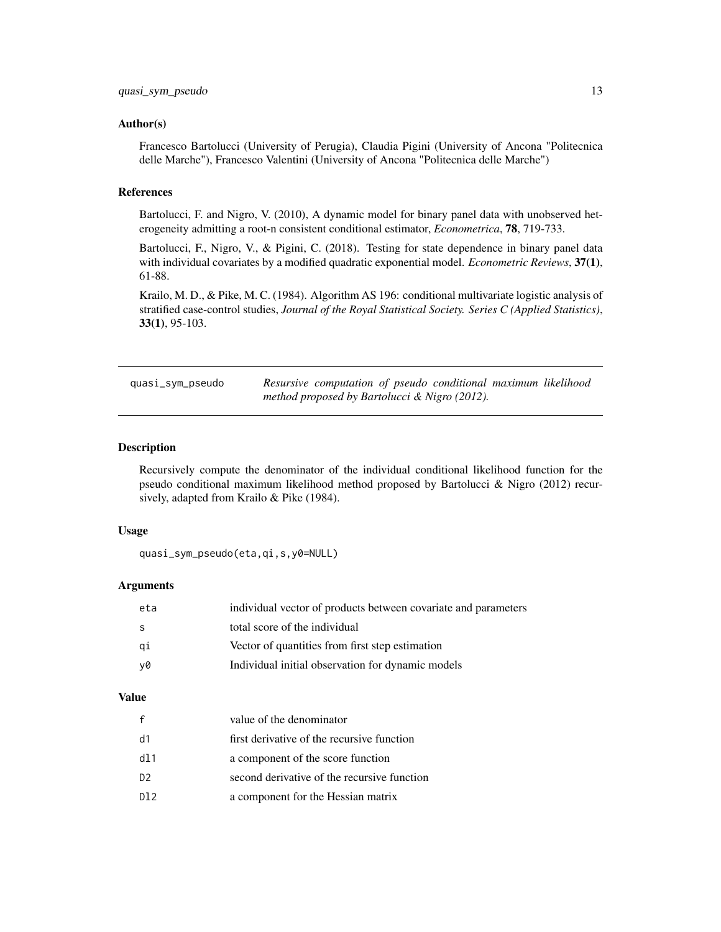#### <span id="page-12-0"></span>Author(s)

Francesco Bartolucci (University of Perugia), Claudia Pigini (University of Ancona "Politecnica delle Marche"), Francesco Valentini (University of Ancona "Politecnica delle Marche")

#### References

Bartolucci, F. and Nigro, V. (2010), A dynamic model for binary panel data with unobserved heterogeneity admitting a root-n consistent conditional estimator, *Econometrica*, 78, 719-733.

Bartolucci, F., Nigro, V., & Pigini, C. (2018). Testing for state dependence in binary panel data with individual covariates by a modified quadratic exponential model. *Econometric Reviews*, 37(1), 61-88.

Krailo, M. D., & Pike, M. C. (1984). Algorithm AS 196: conditional multivariate logistic analysis of stratified case-control studies, *Journal of the Royal Statistical Society. Series C (Applied Statistics)*, 33(1), 95-103.

quasi\_sym\_pseudo *Resursive computation of pseudo conditional maximum likelihood method proposed by Bartolucci & Nigro (2012).*

## Description

Recursively compute the denominator of the individual conditional likelihood function for the pseudo conditional maximum likelihood method proposed by Bartolucci & Nigro (2012) recursively, adapted from Krailo & Pike (1984).

# Usage

```
quasi_sym_pseudo(eta,qi,s,y0=NULL)
```
#### Arguments

| eta | individual vector of products between covariate and parameters |
|-----|----------------------------------------------------------------|
| s   | total score of the individual                                  |
| qi  | Vector of quantities from first step estimation                |
| v0  | Individual initial observation for dynamic models              |

# Value

| f   | value of the denominator                    |
|-----|---------------------------------------------|
| d1  | first derivative of the recursive function  |
| d11 | a component of the score function           |
| D2  | second derivative of the recursive function |
| D12 | a component for the Hessian matrix          |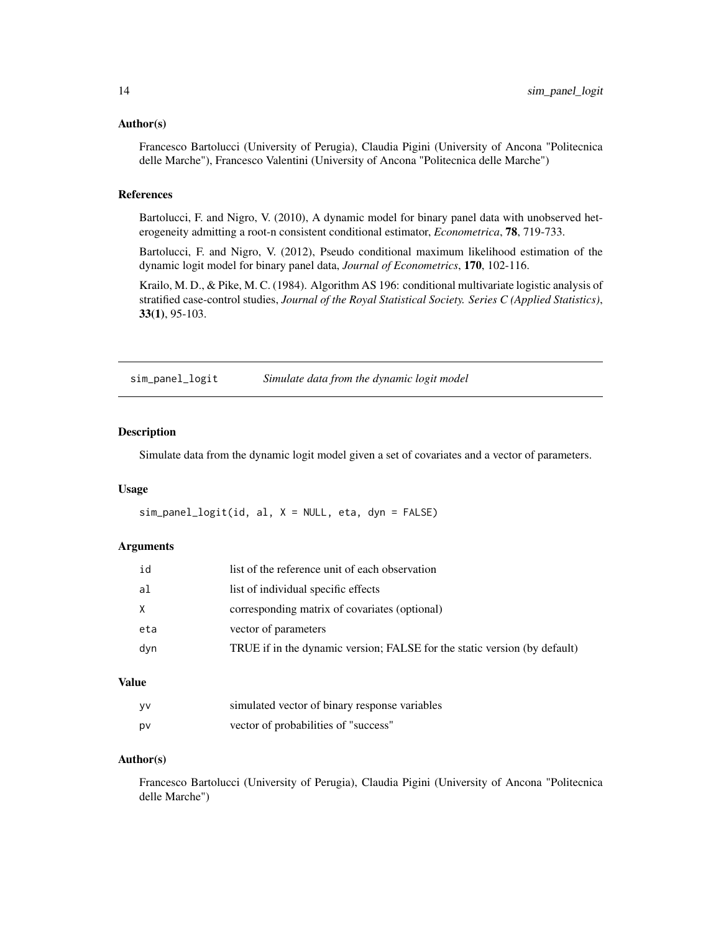#### <span id="page-13-0"></span>Author(s)

Francesco Bartolucci (University of Perugia), Claudia Pigini (University of Ancona "Politecnica delle Marche"), Francesco Valentini (University of Ancona "Politecnica delle Marche")

#### References

Bartolucci, F. and Nigro, V. (2010), A dynamic model for binary panel data with unobserved heterogeneity admitting a root-n consistent conditional estimator, *Econometrica*, 78, 719-733.

Bartolucci, F. and Nigro, V. (2012), Pseudo conditional maximum likelihood estimation of the dynamic logit model for binary panel data, *Journal of Econometrics*, 170, 102-116.

Krailo, M. D., & Pike, M. C. (1984). Algorithm AS 196: conditional multivariate logistic analysis of stratified case-control studies, *Journal of the Royal Statistical Society. Series C (Applied Statistics)*, 33(1), 95-103.

sim\_panel\_logit *Simulate data from the dynamic logit model*

#### Description

Simulate data from the dynamic logit model given a set of covariates and a vector of parameters.

#### Usage

 $sim\_panel\_logit(id, al, X = NULL, eta, dyn = FALSE)$ 

#### **Arguments**

| id  | list of the reference unit of each observation                            |
|-----|---------------------------------------------------------------------------|
| al  | list of individual specific effects                                       |
| X   | corresponding matrix of covariates (optional)                             |
| eta | vector of parameters                                                      |
| dyn | TRUE if in the dynamic version; FALSE for the static version (by default) |
|     |                                                                           |

# Value

| - VV | simulated vector of binary response variables |
|------|-----------------------------------------------|
| pv   | vector of probabilities of "success"          |

# Author(s)

Francesco Bartolucci (University of Perugia), Claudia Pigini (University of Ancona "Politecnica delle Marche")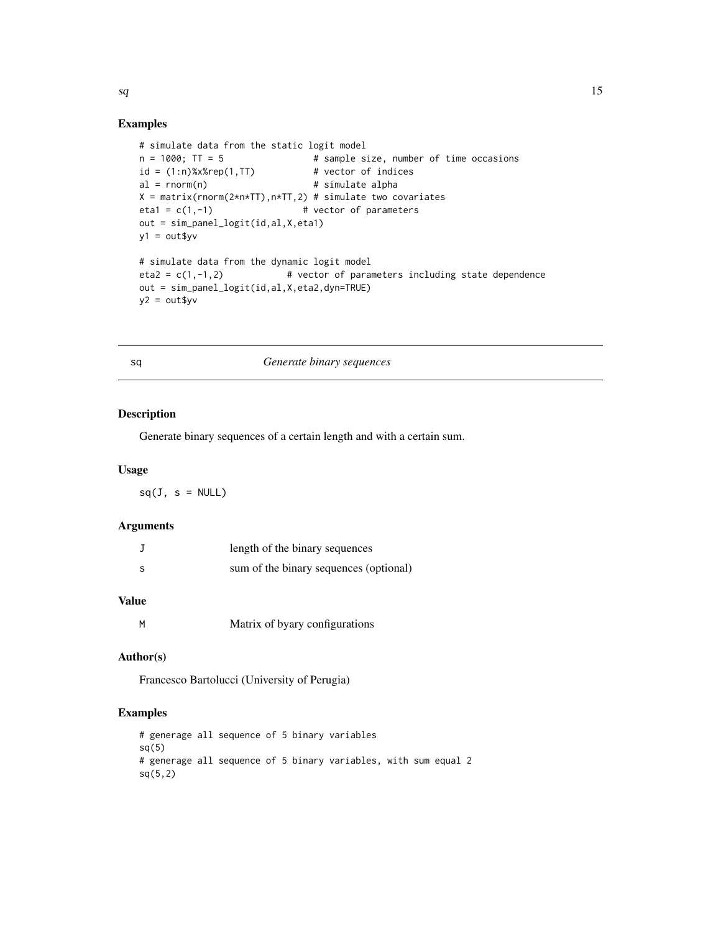#### Examples

```
# simulate data from the static logit model
n = 1000; TT = 5 \qquad # sample size, number of time occasions
id = (1:n)%x%rep(1,TT) # vector of indices
al = rnorm(n) # simulate alpha
X = matrix(rnorm(2*n*TT), n*TT, 2) # simulate two covariateseta = c(1, -1) # vector of parameters
out = sim_panel_logit(id,al,X,eta1)
y1 = out$yv
# simulate data from the dynamic logit model
eta2 = c(1,-1,2) # vector of parameters including state dependence
out = sim_panel_logit(id,al,X,eta2,dyn=TRUE)
y2 = out$yv
```
# sq *Generate binary sequences*

# Description

Generate binary sequences of a certain length and with a certain sum.

#### Usage

 $sq(J, s = NULL)$ 

# Arguments

|   | length of the binary sequences         |
|---|----------------------------------------|
| s | sum of the binary sequences (optional) |

# Value

M Matrix of byary configurations

#### Author(s)

Francesco Bartolucci (University of Perugia)

# Examples

```
# generage all sequence of 5 binary variables
sq(5)# generage all sequence of 5 binary variables, with sum equal 2
sq(5,2)
```
<span id="page-14-0"></span> $sq$  15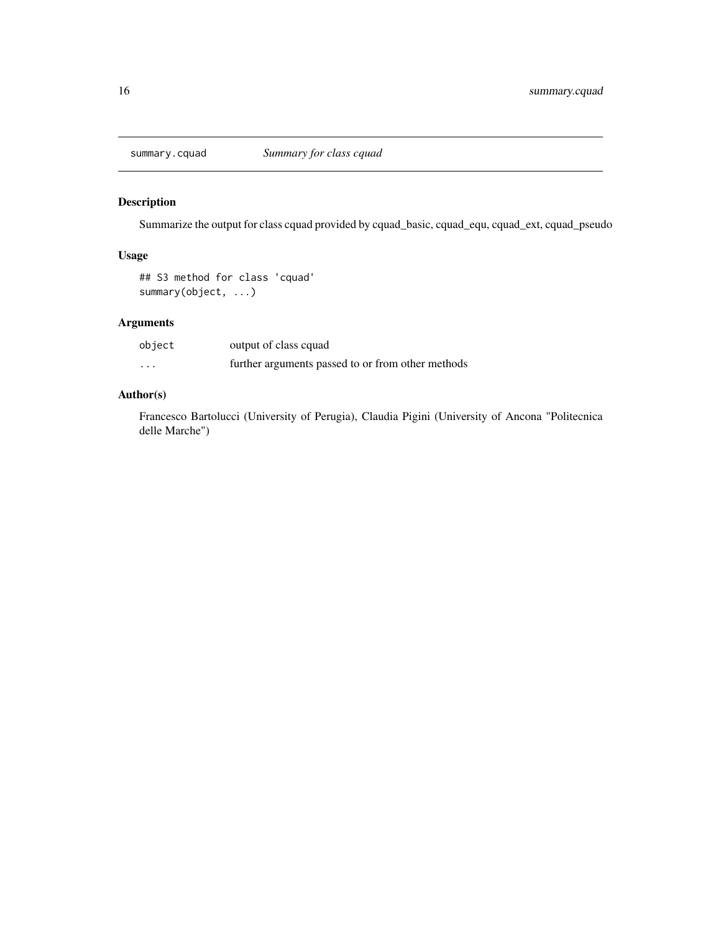<span id="page-15-0"></span>

# Description

Summarize the output for class cquad provided by cquad\_basic, cquad\_equ, cquad\_ext, cquad\_pseudo

# Usage

## S3 method for class 'cquad' summary(object, ...)

# Arguments

| object | output of class cquad                             |
|--------|---------------------------------------------------|
| .      | further arguments passed to or from other methods |

# Author(s)

Francesco Bartolucci (University of Perugia), Claudia Pigini (University of Ancona "Politecnica delle Marche")